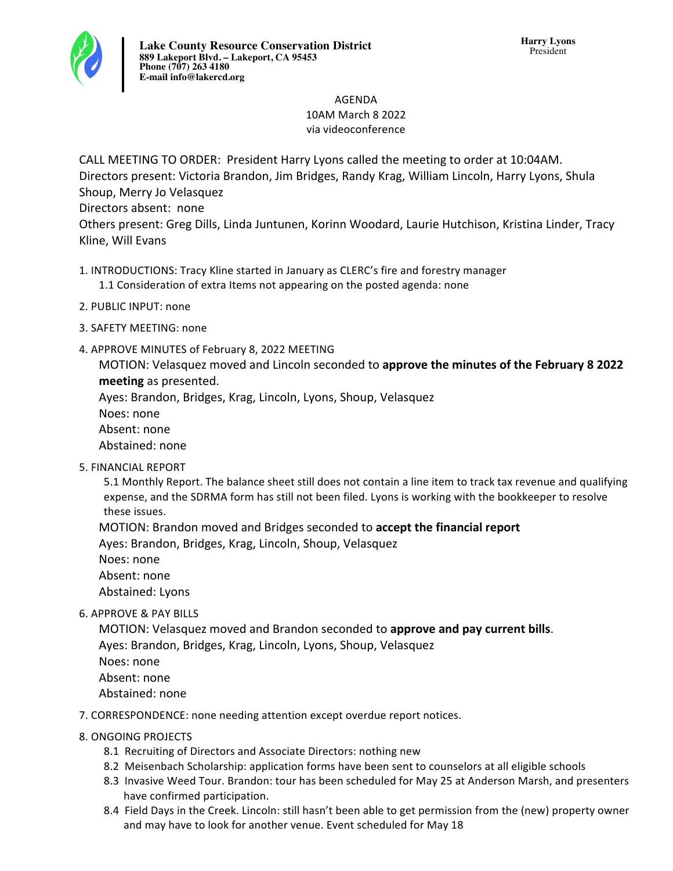# AGENDA 10AM March 8 2022 via videoconference

CALL MEETING TO ORDER: President Harry Lyons called the meeting to order at 10:04AM. Directors present: Victoria Brandon, Jim Bridges, Randy Krag, William Lincoln, Harry Lyons, Shula Shoup, Merry Jo Velasquez Directors absent: none

Others present: Greg Dills, Linda Juntunen, Korinn Woodard, Laurie Hutchison, Kristina Linder, Tracy Kline, Will Evans

- 1. INTRODUCTIONS: Tracy Kline started in January as CLERC's fire and forestry manager
	- 1.1 Consideration of extra Items not appearing on the posted agenda: none
- 2. PUBLIC INPUT: none
- 3. SAFETY MEETING: none
- 4. APPROVE MINUTES of February 8, 2022 MEETING

MOTION: Velasquez moved and Lincoln seconded to **approve the minutes of the February 8 2022 meeting** as presented.

Ayes: Brandon, Bridges, Krag, Lincoln, Lyons, Shoup, Velasquez

Noes: none

Absent: none

Abstained: none

5. FINANCIAL REPORT

5.1 Monthly Report. The balance sheet still does not contain a line item to track tax revenue and qualifying expense, and the SDRMA form has still not been filed. Lyons is working with the bookkeeper to resolve these issues.

MOTION: Brandon moved and Bridges seconded to **accept the financial report** 

Ayes: Brandon, Bridges, Krag, Lincoln, Shoup, Velasquez

- Noes: none Absent: none Abstained: Lyons
- 6. APPROVE & PAY BILLS

MOTION: Velasquez moved and Brandon seconded to **approve and pay current bills**. Ayes: Brandon, Bridges, Krag, Lincoln, Lyons, Shoup, Velasquez Noes: none Absent: none Abstained: none

- 7. CORRESPONDENCE: none needing attention except overdue report notices.
- 8. ONGOING PROJECTS
	- 8.1 Recruiting of Directors and Associate Directors: nothing new
	- 8.2 Meisenbach Scholarship: application forms have been sent to counselors at all eligible schools
	- 8.3 Invasive Weed Tour. Brandon: tour has been scheduled for May 25 at Anderson Marsh, and presenters have confirmed participation.
	- 8.4 Field Days in the Creek. Lincoln: still hasn't been able to get permission from the (new) property owner and may have to look for another venue. Event scheduled for May 18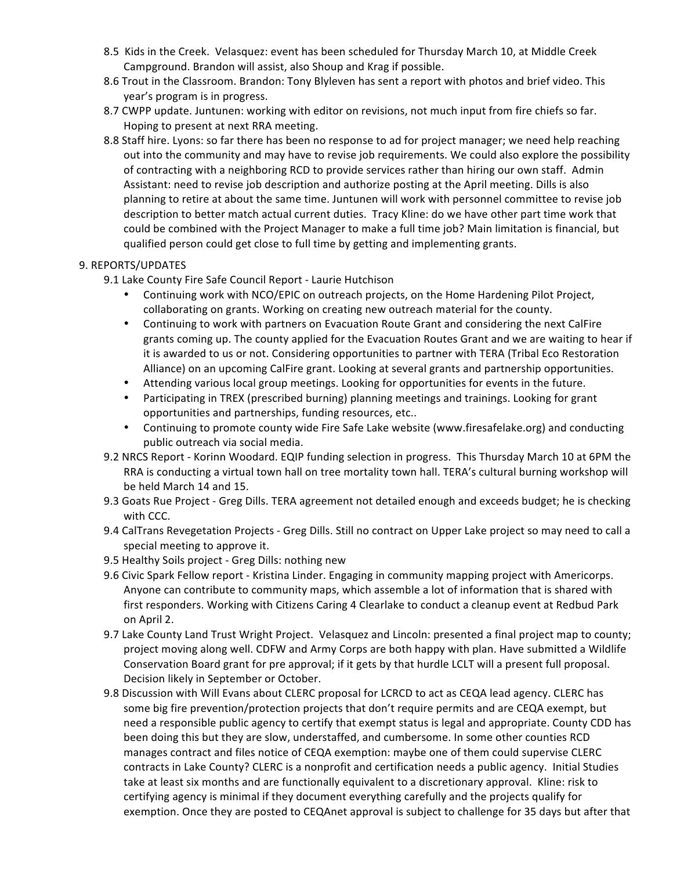- 8.5 Kids in the Creek. Velasquez: event has been scheduled for Thursday March 10, at Middle Creek Campground. Brandon will assist, also Shoup and Krag if possible.
- 8.6 Trout in the Classroom. Brandon: Tony Blyleven has sent a report with photos and brief video. This year's program is in progress.
- 8.7 CWPP update. Juntunen: working with editor on revisions, not much input from fire chiefs so far. Hoping to present at next RRA meeting.
- 8.8 Staff hire. Lyons: so far there has been no response to ad for project manager; we need help reaching out into the community and may have to revise job requirements. We could also explore the possibility of contracting with a neighboring RCD to provide services rather than hiring our own staff. Admin Assistant: need to revise job description and authorize posting at the April meeting. Dills is also planning to retire at about the same time. Juntunen will work with personnel committee to revise job description to better match actual current duties. Tracy Kline: do we have other part time work that could be combined with the Project Manager to make a full time job? Main limitation is financial, but qualified person could get close to full time by getting and implementing grants.

## 9. REPORTS/UPDATES

- 9.1 Lake County Fire Safe Council Report Laurie Hutchison
	- Continuing work with NCO/EPIC on outreach projects, on the Home Hardening Pilot Project, collaborating on grants. Working on creating new outreach material for the county.
	- Continuing to work with partners on Evacuation Route Grant and considering the next CalFire grants coming up. The county applied for the Evacuation Routes Grant and we are waiting to hear if it is awarded to us or not. Considering opportunities to partner with TERA (Tribal Eco Restoration Alliance) on an upcoming CalFire grant. Looking at several grants and partnership opportunities.
	- Attending various local group meetings. Looking for opportunities for events in the future.
	- Participating in TREX (prescribed burning) planning meetings and trainings. Looking for grant opportunities and partnerships, funding resources, etc..
	- Continuing to promote county wide Fire Safe Lake website (www.firesafelake.org) and conducting public outreach via social media.
- 9.2 NRCS Report Korinn Woodard. EQIP funding selection in progress. This Thursday March 10 at 6PM the RRA is conducting a virtual town hall on tree mortality town hall. TERA's cultural burning workshop will be held March 14 and 15.
- 9.3 Goats Rue Project Greg Dills. TERA agreement not detailed enough and exceeds budget; he is checking with CCC.
- 9.4 CalTrans Revegetation Projects Greg Dills. Still no contract on Upper Lake project so may need to call a special meeting to approve it.
- 9.5 Healthy Soils project Greg Dills: nothing new
- 9.6 Civic Spark Fellow report Kristina Linder. Engaging in community mapping project with Americorps. Anyone can contribute to community maps, which assemble a lot of information that is shared with first responders. Working with Citizens Caring 4 Clearlake to conduct a cleanup event at Redbud Park on April 2.
- 9.7 Lake County Land Trust Wright Project. Velasquez and Lincoln: presented a final project map to county; project moving along well. CDFW and Army Corps are both happy with plan. Have submitted a Wildlife Conservation Board grant for pre approval; if it gets by that hurdle LCLT will a present full proposal. Decision likely in September or October.
- 9.8 Discussion with Will Evans about CLERC proposal for LCRCD to act as CEQA lead agency. CLERC has some big fire prevention/protection projects that don't require permits and are CEQA exempt, but need a responsible public agency to certify that exempt status is legal and appropriate. County CDD has been doing this but they are slow, understaffed, and cumbersome. In some other counties RCD manages contract and files notice of CEQA exemption: maybe one of them could supervise CLERC contracts in Lake County? CLERC is a nonprofit and certification needs a public agency. Initial Studies take at least six months and are functionally equivalent to a discretionary approval. Kline: risk to certifying agency is minimal if they document everything carefully and the projects qualify for exemption. Once they are posted to CEQAnet approval is subject to challenge for 35 days but after that